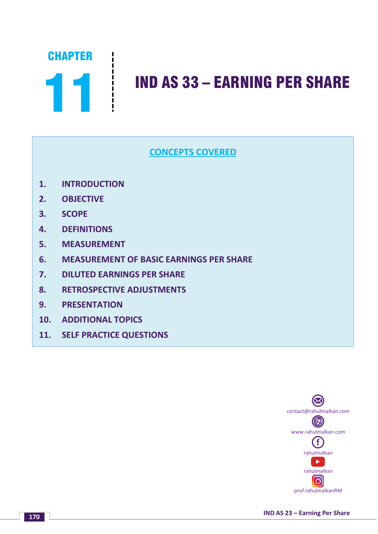# **CHAPTER**

# **11 IND AS 33 – EARNING PER SHARE**

# **CONCEPTS COVERED**

- **1. INTRODUCTION**
- **2. OBJECTIVE**
- **3. SCOPE**
- **4. DEFINITIONS**
- **5. MEASUREMENT**
- **6. MEASUREMENT OF BASIC EARNINGS PER SHARE**
- **7. DILUTED EARNINGS PER SHARE**
- **8. RETROSPECTIVE ADJUSTMENTS**
- **9. PRESENTATION**
- **10. ADDITIONAL TOPICS**
- **11. SELF PRACTICE QUESTIONS**



**<sup>170</sup> IND AS 23 – Earning Per Share**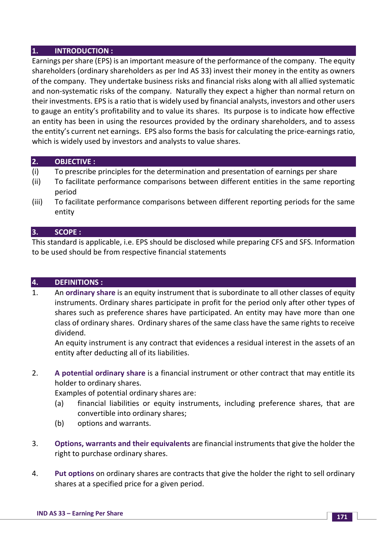#### **1. INTRODUCTION :**

Earnings per share (EPS) is an important measure of the performance of the company. The equity shareholders (ordinary shareholders as per Ind AS 33) invest their money in the entity as owners of the company. They undertake business risks and financial risks along with all allied systematic and non-systematic risks of the company. Naturally they expect a higher than normal return on their investments. EPS is a ratio that is widely used by financial analysts, investors and other users to gauge an entity's profitability and to value its shares. Its purpose is to indicate how effective an entity has been in using the resources provided by the ordinary shareholders, and to assess the entity's current net earnings. EPS also forms the basis for calculating the price-earnings ratio, which is widely used by investors and analysts to value shares.

#### **2. OBJECTIVE :**

- (i) To prescribe principles for the determination and presentation of earnings per share
- (ii) To facilitate performance comparisons between different entities in the same reporting period
- (iii) To facilitate performance comparisons between different reporting periods for the same entity

#### **3. SCOPE :**

This standard is applicable, i.e. EPS should be disclosed while preparing CFS and SFS. Information to be used should be from respective financial statements

#### **4. DEFINITIONS :**

1. An **ordinary share** is an equity instrument that is subordinate to all other classes of equity instruments. Ordinary shares participate in profit for the period only after other types of shares such as preference shares have participated. An entity may have more than one class of ordinary shares. Ordinary shares of the same class have the same rights to receive dividend.

An equity instrument is any contract that evidences a residual interest in the assets of an entity after deducting all of its liabilities.

2. **A potential ordinary share** is a financial instrument or other contract that may entitle its holder to ordinary shares.

Examples of potential ordinary shares are:

- (a) financial liabilities or equity instruments, including preference shares, that are convertible into ordinary shares;
- (b) options and warrants.
- 3. **Options, warrants and their equivalents** are financial instruments that give the holder the right to purchase ordinary shares.
- 4. **Put options** on ordinary shares are contracts that give the holder the right to sell ordinary shares at a specified price for a given period.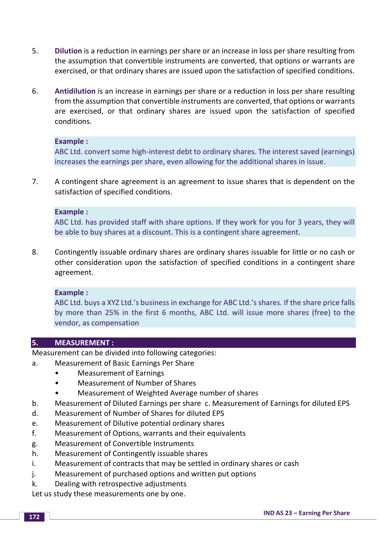- 5. **Dilution** is a reduction in earnings per share or an increase in loss per share resulting from the assumption that convertible instruments are converted, that options or warrants are exercised, or that ordinary shares are issued upon the satisfaction of specified conditions.
- 6. **Antidilution** is an increase in earnings per share or a reduction in loss per share resulting from the assumption that convertible instruments are converted, that options or warrants are exercised, or that ordinary shares are issued upon the satisfaction of specified conditions.

#### **Example :**

ABC Ltd. convert some high-interest debt to ordinary shares. The interest saved (earnings) increases the earnings per share, even allowing for the additional shares in issue.

7. A contingent share agreement is an agreement to issue shares that is dependent on the satisfaction of specified conditions.

#### **Example :**

ABC Ltd. has provided staff with share options. If they work for you for 3 years, they will be able to buy shares at a discount. This is a contingent share agreement.

8. Contingently issuable ordinary shares are ordinary shares issuable for little or no cash or other consideration upon the satisfaction of specified conditions in a contingent share agreement.

#### **Example :**

ABC Ltd. buys a XYZ Ltd.'s business in exchange for ABC Ltd.'s shares. If the share price falls by more than 25% in the first 6 months, ABC Ltd. will issue more shares (free) to the vendor, as compensation

#### **5. MEASUREMENT :**

Measurement can be divided into following categories:

- a. Measurement of Basic Earnings Per Share
	- Measurement of Earnings
	- Measurement of Number of Shares
	- Measurement of Weighted Average number of shares
- b. Measurement of Diluted Earnings per share c. Measurement of Earnings for diluted EPS
- d. Measurement of Number of Shares for diluted EPS
- e. Measurement of Dilutive potential ordinary shares
- f. Measurement of Options, warrants and their equivalents
- g. Measurement of Convertible Instruments
- h. Measurement of Contingently issuable shares
- i. Measurement of contracts that may be settled in ordinary shares or cash
- j. Measurement of purchased options and written put options
- k. Dealing with retrospective adjustments

Let us study these measurements one by one.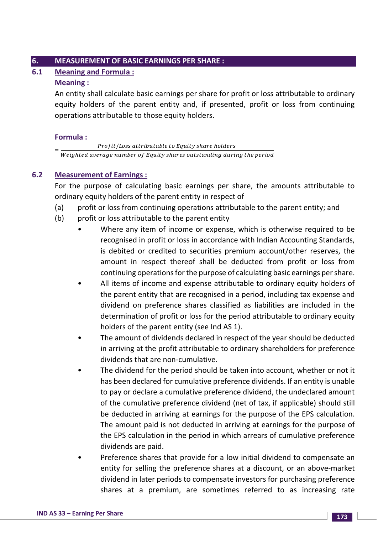#### **6. MEASUREMENT OF BASIC EARNINGS PER SHARE :**

### **6.1 Meaning and Formula :**

#### **Meaning :**

An entity shall calculate basic earnings per share for profit or loss attributable to ordinary equity holders of the parent entity and, if presented, profit or loss from continuing operations attributable to those equity holders.

#### **Formula :**

= weighted average number of Equity shares outstanding during the p Profit/Loss attributable to Equity share holders

#### **6.2 Measurement of Earnings :**

For the purpose of calculating basic earnings per share, the amounts attributable to ordinary equity holders of the parent entity in respect of

- (a) profit or loss from continuing operations attributable to the parent entity; and
- (b) profit or loss attributable to the parent entity
	- Where any item of income or expense, which is otherwise required to be recognised in profit or loss in accordance with Indian Accounting Standards, is debited or credited to securities premium account/other reserves, the amount in respect thereof shall be deducted from profit or loss from continuing operations for the purpose of calculating basic earnings per share.
	- All items of income and expense attributable to ordinary equity holders of the parent entity that are recognised in a period, including tax expense and dividend on preference shares classified as liabilities are included in the determination of profit or loss for the period attributable to ordinary equity holders of the parent entity (see Ind AS 1).
	- The amount of dividends declared in respect of the year should be deducted in arriving at the profit attributable to ordinary shareholders for preference dividends that are non-cumulative.
	- The dividend for the period should be taken into account, whether or not it has been declared for cumulative preference dividends. If an entity is unable to pay or declare a cumulative preference dividend, the undeclared amount of the cumulative preference dividend (net of tax, if applicable) should still be deducted in arriving at earnings for the purpose of the EPS calculation. The amount paid is not deducted in arriving at earnings for the purpose of the EPS calculation in the period in which arrears of cumulative preference dividends are paid.
	- Preference shares that provide for a low initial dividend to compensate an entity for selling the preference shares at a discount, or an above-market dividend in later periods to compensate investors for purchasing preference shares at a premium, are sometimes referred to as increasing rate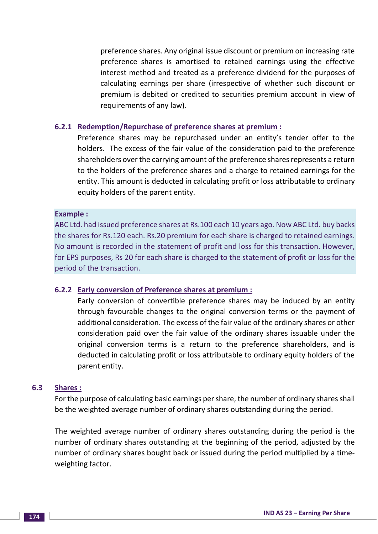preference shares. Any original issue discount or premium on increasing rate preference shares is amortised to retained earnings using the effective interest method and treated as a preference dividend for the purposes of calculating earnings per share (irrespective of whether such discount or premium is debited or credited to securities premium account in view of requirements of any law).

#### **6.2.1 Redemption/Repurchase of preference shares at premium :**

Preference shares may be repurchased under an entity's tender offer to the holders. The excess of the fair value of the consideration paid to the preference shareholders over the carrying amount of the preference shares represents a return to the holders of the preference shares and a charge to retained earnings for the entity. This amount is deducted in calculating profit or loss attributable to ordinary equity holders of the parent entity.

#### **Example :**

ABC Ltd. had issued preference shares at Rs.100 each 10 years ago. Now ABC Ltd. buy backs the shares for Rs.120 each. Rs.20 premium for each share is charged to retained earnings. No amount is recorded in the statement of profit and loss for this transaction. However, for EPS purposes, Rs 20 for each share is charged to the statement of profit or loss for the period of the transaction.

#### **6.2.2 Early conversion of Preference shares at premium :**

Early conversion of convertible preference shares may be induced by an entity through favourable changes to the original conversion terms or the payment of additional consideration. The excess of the fair value of the ordinary shares or other consideration paid over the fair value of the ordinary shares issuable under the original conversion terms is a return to the preference shareholders, and is deducted in calculating profit or loss attributable to ordinary equity holders of the parent entity.

#### **6.3 Shares :**

For the purpose of calculating basic earnings per share, the number of ordinary shares shall be the weighted average number of ordinary shares outstanding during the period.

The weighted average number of ordinary shares outstanding during the period is the number of ordinary shares outstanding at the beginning of the period, adjusted by the number of ordinary shares bought back or issued during the period multiplied by a timeweighting factor.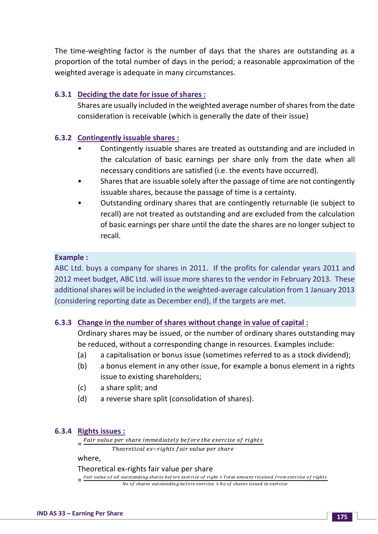The time-weighting factor is the number of days that the shares are outstanding as a proportion of the total number of days in the period; a reasonable approximation of the weighted average is adequate in many circumstances.

### **6.3.1 Deciding the date for issue of shares :**

Shares are usually included in the weighted average number of shares from the date consideration is receivable (which is generally the date of their issue)

# **6.3.2 Contingently issuable shares :**

- Contingently issuable shares are treated as outstanding and are included in the calculation of basic earnings per share only from the date when all necessary conditions are satisfied (i.e. the events have occurred).
- Shares that are issuable solely after the passage of time are not contingently issuable shares, because the passage of time is a certainty.
- Outstanding ordinary shares that are contingently returnable (ie subject to recall) are not treated as outstanding and are excluded from the calculation of basic earnings per share until the date the shares are no longer subject to recall.

#### **Example :**

ABC Ltd. buys a company for shares in 2011. If the profits for calendar years 2011 and 2012 meet budget, ABC Ltd. will issue more shares to the vendor in February 2013. These additional shares will be included in the weighted-average calculation from 1 January 2013 (considering reporting date as December end), if the targets are met.

#### **6.3.3 Change in the number of shares without change in value of capital :**

Ordinary shares may be issued, or the number of ordinary shares outstanding may be reduced, without a corresponding change in resources. Examples include:

- (a) a capitalisation or bonus issue (sometimes referred to as a stock dividend);
- (b) a bonus element in any other issue, for example a bonus element in a rights issue to existing shareholders;
- (c) a share split; and
- (d) a reverse share split (consolidation of shares).

#### **6.3.4 Rights issues :**

= Fair value per share immediately before the exercise of rights

Theoretical  $ex$ -rights fair value per share

where,

#### Theoretical ex-rights fair value per share

 $=$   $\frac{Fair \ value \ of \ all \ outstanding \ shares \ before \ exercise \ of \ right + Total \ amount \ received \ from \ exercise \ of \ rights}$ No of shares outstanding before exercise + No of shares issued in exercise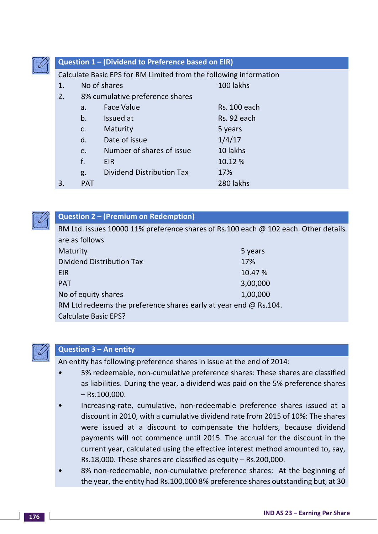

# **Question 1 – (Dividend to Preference based on EIR)**

Calculate Basic EPS for RM Limited from the following information

| 1. |            | No of shares                    | 100 lakhs           |
|----|------------|---------------------------------|---------------------|
| 2. |            | 8% cumulative preference shares |                     |
|    | a.         | <b>Face Value</b>               | <b>Rs. 100 each</b> |
|    | b.         | Issued at                       | Rs. 92 each         |
|    | c.         | Maturity                        | 5 years             |
|    | d.         | Date of issue                   | 1/4/17              |
|    | e.         | Number of shares of issue       | 10 lakhs            |
|    | f.         | <b>EIR</b>                      | 10.12 %             |
|    | g.         | Dividend Distribution Tax       | 17%                 |
| 3. | <b>PAT</b> |                                 | 280 lakhs           |



# **Question 2 – (Premium on Redemption)**

RM Ltd. issues 10000 11% preference shares of Rs.100 each @ 102 each. Other details are as follows

| $101C$ $11C$                                                     |          |
|------------------------------------------------------------------|----------|
| Maturity                                                         | 5 years  |
| Dividend Distribution Tax                                        | 17%      |
| <b>EIR</b>                                                       | 10.47 %  |
| <b>PAT</b>                                                       | 3,00,000 |
| No of equity shares                                              | 1,00,000 |
| RM Ltd redeems the preference shares early at year end @ Rs.104. |          |
| <b>Calculate Basic EPS?</b>                                      |          |



# **Question 3 – An entity**

An entity has following preference shares in issue at the end of 2014:

- 5% redeemable, non-cumulative preference shares: These shares are classified as liabilities. During the year, a dividend was paid on the 5% preference shares – Rs.100,000.
- Increasing-rate, cumulative, non-redeemable preference shares issued at a discount in 2010, with a cumulative dividend rate from 2015 of 10%: The shares were issued at a discount to compensate the holders, because dividend payments will not commence until 2015. The accrual for the discount in the current year, calculated using the effective interest method amounted to, say, Rs.18,000. These shares are classified as equity – Rs.200,000.
- 8% non-redeemable, non-cumulative preference shares: At the beginning of the year, the entity had Rs.100,000 8% preference shares outstanding but, at 30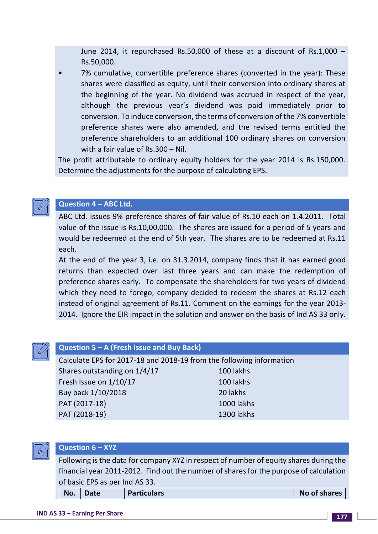June 2014, it repurchased Rs.50,000 of these at a discount of Rs.1,000 – Rs.50,000.

7% cumulative, convertible preference shares (converted in the year): These shares were classified as equity, until their conversion into ordinary shares at the beginning of the year. No dividend was accrued in respect of the year, although the previous year's dividend was paid immediately prior to conversion. To induce conversion, the terms of conversion of the 7% convertible preference shares were also amended, and the revised terms entitled the preference shareholders to an additional 100 ordinary shares on conversion with a fair value of Rs.300 – Nil.

The profit attributable to ordinary equity holders for the year 2014 is Rs.150,000. Determine the adjustments for the purpose of calculating EPS.



#### **Question 4 – ABC Ltd.**

ABC Ltd. issues 9% preference shares of fair value of Rs.10 each on 1.4.2011. Total value of the issue is Rs.10,00,000. The shares are issued for a period of 5 years and would be redeemed at the end of 5th year. The shares are to be redeemed at Rs.11 each.

At the end of the year 3, i.e. on 31.3.2014, company finds that it has earned good returns than expected over last three years and can make the redemption of preference shares early. To compensate the shareholders for two years of dividend which they need to forego, company decided to redeem the shares at Rs.12 each instead of original agreement of Rs.11. Comment on the earnings for the year 2013- 2014. Ignore the EIR impact in the solution and answer on the basis of Ind AS 33 only.



#### **Question 5 – A (Fresh issue and Buy Back)**

Calculate EPS for 2017-18 and 2018-19 from the following information Shares outstanding on  $1/4/17$  100 lakhs Fresh Issue on  $1/10/17$  100 lakhs Buy back 1/10/2018 20 lakhs PAT (2017-18) 1000 lakhs PAT (2018-19) 1300 lakhs



#### **Question 6 – XYZ**

Following is the data for company XYZ in respect of number of equity shares during the financial year 2011-2012. Find out the number of shares for the purpose of calculation of basic EPS as per Ind AS 33.

**No. of shares No. 2016 No. 2016 No. 2016 No. 2016 No. 2016 No. 2016 No. 2016**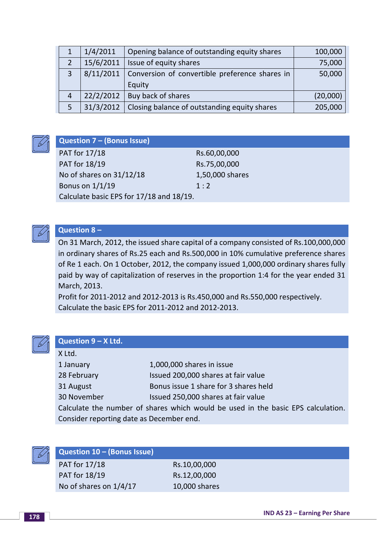|   | 1/4/2011  | Opening balance of outstanding equity shares   | 100,000  |
|---|-----------|------------------------------------------------|----------|
|   | 15/6/2011 | Issue of equity shares                         | 75,000   |
| 3 | 8/11/2011 | Conversion of convertible preference shares in | 50,000   |
|   |           | Equity                                         |          |
| 4 | 22/2/2012 | Buy back of shares                             | (20,000) |
| 5 | 31/3/2012 | Closing balance of outstanding equity shares   | 205,000  |



# **Question 7 – (Bonus Issue)**

| <b>PAT for 17/18</b>                     | Rs.60,00,000    |  |
|------------------------------------------|-----------------|--|
| PAT for 18/19                            | Rs.75,00,000    |  |
| No of shares on 31/12/18                 | 1,50,000 shares |  |
| Bonus on 1/1/19                          | 1:2             |  |
| Calculate basic EPS for 17/18 and 18/19. |                 |  |



# **Question 8 –**

On 31 March, 2012, the issued share capital of a company consisted of Rs.100,000,000 in ordinary shares of Rs.25 each and Rs.500,000 in 10% cumulative preference shares of Re 1 each. On 1 October, 2012, the company issued 1,000,000 ordinary shares fully paid by way of capitalization of reserves in the proportion 1:4 for the year ended 31 March, 2013.

Profit for 2011-2012 and 2012-2013 is Rs.450,000 and Rs.550,000 respectively. Calculate the basic EPS for 2011-2012 and 2012-2013.

| $\mathbb{A}$ | Question 9 - X Ltd.                      |                                                                                  |  |
|--------------|------------------------------------------|----------------------------------------------------------------------------------|--|
|              | X Ltd.                                   |                                                                                  |  |
|              | 1 January                                | 1,000,000 shares in issue                                                        |  |
|              | 28 February                              | Issued 200,000 shares at fair value                                              |  |
|              | 31 August                                | Bonus issue 1 share for 3 shares held                                            |  |
|              | 30 November                              | Issued 250,000 shares at fair value                                              |  |
|              |                                          | Calculate the number of shares which would be used in the basic EPS calculation. |  |
|              | Consider reporting date as December end. |                                                                                  |  |



| Question 10 - (Bonus Issue) |               |  |  |
|-----------------------------|---------------|--|--|
| PAT for 17/18               | Rs.10,00,000  |  |  |
| PAT for 18/19               | Rs.12,00,000  |  |  |
| No of shares on 1/4/17      | 10,000 shares |  |  |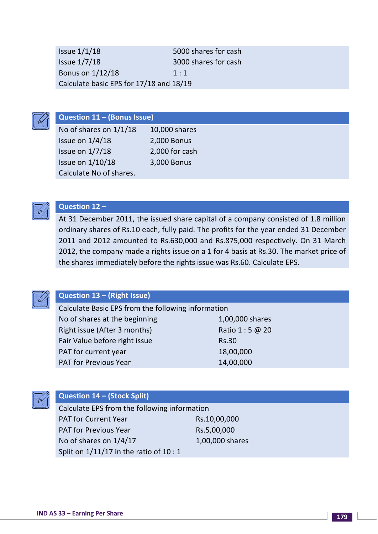Issue 1/1/18 5000 shares for cash Issue 1/7/18 3000 shares for cash Bonus on  $1/12/18$  1:1 Calculate basic EPS for 17/18 and 18/19



# **Question 11 – (Bonus Issue)**

| No of shares on 1/1/18  | 10,000 shares  |
|-------------------------|----------------|
| Issue on $1/4/18$       | 2,000 Bonus    |
| Issue on $1/7/18$       | 2,000 for cash |
| Issue on 1/10/18        | 3,000 Bonus    |
| Calculate No of shares. |                |



#### **Question 12 –**

At 31 December 2011, the issued share capital of a company consisted of 1.8 million ordinary shares of Rs.10 each, fully paid. The profits for the year ended 31 December 2011 and 2012 amounted to Rs.630,000 and Rs.875,000 respectively. On 31 March 2012, the company made a rights issue on a 1 for 4 basis at Rs.30. The market price of the shares immediately before the rights issue was Rs.60. Calculate EPS.



# **Question 13 – (Right Issue)**

| Calculate Basic EPS from the following information |                 |  |  |
|----------------------------------------------------|-----------------|--|--|
| No of shares at the beginning                      | 1,00,000 shares |  |  |
| Right issue (After 3 months)                       | Ratio 1:5 @ 20  |  |  |
| Fair Value before right issue                      | <b>Rs.30</b>    |  |  |
| PAT for current year                               | 18,00,000       |  |  |
| <b>PAT for Previous Year</b>                       | 14,00,000       |  |  |



# **Question 14 – (Stock Split)**

Calculate EPS from the following information PAT for Current Year Rs.10,00,000 PAT for Previous Year Rs.5,00,000 No of shares on  $1/4/17$  1,00,000 shares Split on 1/11/17 in the ratio of 10 : 1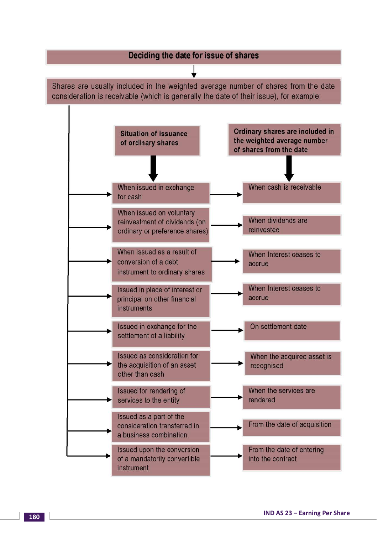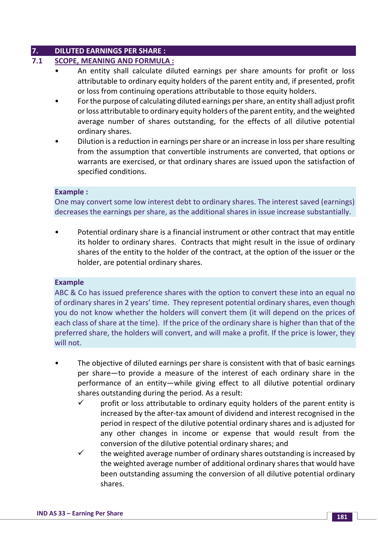# **7. DILUTED EARNINGS PER SHARE :**

# **7.1 SCOPE, MEANING AND FORMULA :**

- An entity shall calculate diluted earnings per share amounts for profit or loss attributable to ordinary equity holders of the parent entity and, if presented, profit or loss from continuing operations attributable to those equity holders.
- For the purpose of calculating diluted earnings per share, an entity shall adjust profit or loss attributable to ordinary equity holders of the parent entity, and the weighted average number of shares outstanding, for the effects of all dilutive potential ordinary shares.
- Dilution is a reduction in earnings per share or an increase in loss per share resulting from the assumption that convertible instruments are converted, that options or warrants are exercised, or that ordinary shares are issued upon the satisfaction of specified conditions.

#### **Example :**

One may convert some low interest debt to ordinary shares. The interest saved (earnings) decreases the earnings per share, as the additional shares in issue increase substantially.

• Potential ordinary share is a financial instrument or other contract that may entitle its holder to ordinary shares. Contracts that might result in the issue of ordinary shares of the entity to the holder of the contract, at the option of the issuer or the holder, are potential ordinary shares.

#### **Example**

ABC & Co has issued preference shares with the option to convert these into an equal no of ordinary shares in 2 years' time. They represent potential ordinary shares, even though you do not know whether the holders will convert them (it will depend on the prices of each class of share at the time). If the price of the ordinary share is higher than that of the preferred share, the holders will convert, and will make a profit. If the price is lower, they will not.

- The objective of diluted earnings per share is consistent with that of basic earnings per share—to provide a measure of the interest of each ordinary share in the performance of an entity—while giving effect to all dilutive potential ordinary shares outstanding during the period. As a result:
	- $\checkmark$  profit or loss attributable to ordinary equity holders of the parent entity is increased by the after-tax amount of dividend and interest recognised in the period in respect of the dilutive potential ordinary shares and is adjusted for any other changes in income or expense that would result from the conversion of the dilutive potential ordinary shares; and
	- $\checkmark$  the weighted average number of ordinary shares outstanding is increased by the weighted average number of additional ordinary shares that would have been outstanding assuming the conversion of all dilutive potential ordinary shares.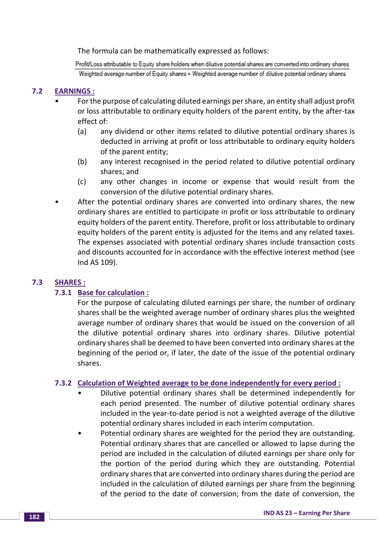The formula can be mathematically expressed as follows:

Profit/Loss attributable to Equity share holders when dilutive potential shares are converted into ordinary shares

Weighted average number of Equity shares + Weighted average number of dilutive potential ordinary shares

# **7.2 EARNINGS :**

- For the purpose of calculating diluted earnings per share, an entity shall adjust profit or loss attributable to ordinary equity holders of the parent entity, by the after-tax effect of:
	- (a) any dividend or other items related to dilutive potential ordinary shares is deducted in arriving at profit or loss attributable to ordinary equity holders of the parent entity;
	- (b) any interest recognised in the period related to dilutive potential ordinary shares; and
	- (c) any other changes in income or expense that would result from the conversion of the dilutive potential ordinary shares.
- After the potential ordinary shares are converted into ordinary shares, the new ordinary shares are entitled to participate in profit or loss attributable to ordinary equity holders of the parent entity. Therefore, profit or loss attributable to ordinary equity holders of the parent entity is adjusted for the items and any related taxes. The expenses associated with potential ordinary shares include transaction costs and discounts accounted for in accordance with the effective interest method (see Ind AS 109).

# **7.3 SHARES :**

# **7.3.1 Base for calculation :**

For the purpose of calculating diluted earnings per share, the number of ordinary shares shall be the weighted average number of ordinary shares plus the weighted average number of ordinary shares that would be issued on the conversion of all the dilutive potential ordinary shares into ordinary shares. Dilutive potential ordinary shares shall be deemed to have been converted into ordinary shares at the beginning of the period or, if later, the date of the issue of the potential ordinary shares.

# **7.3.2 Calculation of Weighted average to be done independently for every period :**

- Dilutive potential ordinary shares shall be determined independently for each period presented. The number of dilutive potential ordinary shares included in the year-to-date period is not a weighted average of the dilutive potential ordinary shares included in each interim computation.
- Potential ordinary shares are weighted for the period they are outstanding. Potential ordinary shares that are cancelled or allowed to lapse during the period are included in the calculation of diluted earnings per share only for the portion of the period during which they are outstanding. Potential ordinary shares that are converted into ordinary shares during the period are included in the calculation of diluted earnings per share from the beginning of the period to the date of conversion; from the date of conversion, the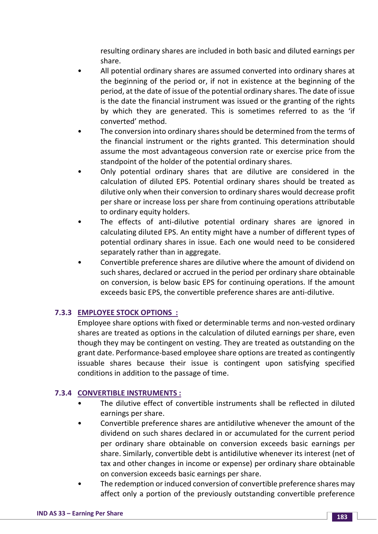resulting ordinary shares are included in both basic and diluted earnings per share.

- All potential ordinary shares are assumed converted into ordinary shares at the beginning of the period or, if not in existence at the beginning of the period, at the date of issue of the potential ordinary shares. The date of issue is the date the financial instrument was issued or the granting of the rights by which they are generated. This is sometimes referred to as the 'if converted' method.
- The conversion into ordinary shares should be determined from the terms of the financial instrument or the rights granted. This determination should assume the most advantageous conversion rate or exercise price from the standpoint of the holder of the potential ordinary shares.
- Only potential ordinary shares that are dilutive are considered in the calculation of diluted EPS. Potential ordinary shares should be treated as dilutive only when their conversion to ordinary shares would decrease profit per share or increase loss per share from continuing operations attributable to ordinary equity holders.
- The effects of anti-dilutive potential ordinary shares are ignored in calculating diluted EPS. An entity might have a number of different types of potential ordinary shares in issue. Each one would need to be considered separately rather than in aggregate.
- Convertible preference shares are dilutive where the amount of dividend on such shares, declared or accrued in the period per ordinary share obtainable on conversion, is below basic EPS for continuing operations. If the amount exceeds basic EPS, the convertible preference shares are anti-dilutive.

# **7.3.3 EMPLOYEE STOCK OPTIONS :**

Employee share options with fixed or determinable terms and non-vested ordinary shares are treated as options in the calculation of diluted earnings per share, even though they may be contingent on vesting. They are treated as outstanding on the grant date. Performance-based employee share options are treated as contingently issuable shares because their issue is contingent upon satisfying specified conditions in addition to the passage of time.

# **7.3.4 CONVERTIBLE INSTRUMENTS :**

- The dilutive effect of convertible instruments shall be reflected in diluted earnings per share.
- Convertible preference shares are antidilutive whenever the amount of the dividend on such shares declared in or accumulated for the current period per ordinary share obtainable on conversion exceeds basic earnings per share. Similarly, convertible debt is antidilutive whenever its interest (net of tax and other changes in income or expense) per ordinary share obtainable on conversion exceeds basic earnings per share.
- The redemption or induced conversion of convertible preference shares may affect only a portion of the previously outstanding convertible preference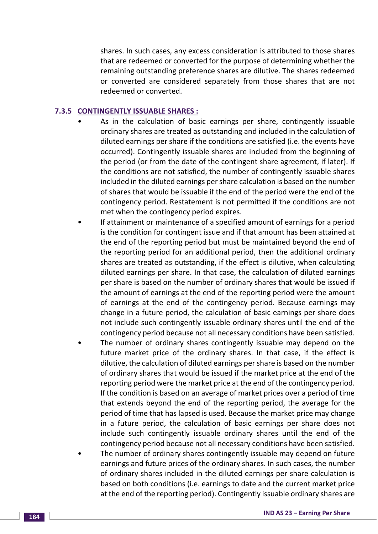shares. In such cases, any excess consideration is attributed to those shares that are redeemed or converted for the purpose of determining whether the remaining outstanding preference shares are dilutive. The shares redeemed or converted are considered separately from those shares that are not redeemed or converted.

#### **7.3.5 CONTINGENTLY ISSUABLE SHARES :**

- As in the calculation of basic earnings per share, contingently issuable ordinary shares are treated as outstanding and included in the calculation of diluted earnings per share if the conditions are satisfied (i.e. the events have occurred). Contingently issuable shares are included from the beginning of the period (or from the date of the contingent share agreement, if later). If the conditions are not satisfied, the number of contingently issuable shares included in the diluted earnings per share calculation is based on the number of shares that would be issuable if the end of the period were the end of the contingency period. Restatement is not permitted if the conditions are not met when the contingency period expires.
- If attainment or maintenance of a specified amount of earnings for a period is the condition for contingent issue and if that amount has been attained at the end of the reporting period but must be maintained beyond the end of the reporting period for an additional period, then the additional ordinary shares are treated as outstanding, if the effect is dilutive, when calculating diluted earnings per share. In that case, the calculation of diluted earnings per share is based on the number of ordinary shares that would be issued if the amount of earnings at the end of the reporting period were the amount of earnings at the end of the contingency period. Because earnings may change in a future period, the calculation of basic earnings per share does not include such contingently issuable ordinary shares until the end of the contingency period because not all necessary conditions have been satisfied.
- The number of ordinary shares contingently issuable may depend on the future market price of the ordinary shares. In that case, if the effect is dilutive, the calculation of diluted earnings per share is based on the number of ordinary shares that would be issued if the market price at the end of the reporting period were the market price at the end of the contingency period. If the condition is based on an average of market prices over a period of time that extends beyond the end of the reporting period, the average for the period of time that has lapsed is used. Because the market price may change in a future period, the calculation of basic earnings per share does not include such contingently issuable ordinary shares until the end of the contingency period because not all necessary conditions have been satisfied.
- The number of ordinary shares contingently issuable may depend on future earnings and future prices of the ordinary shares. In such cases, the number of ordinary shares included in the diluted earnings per share calculation is based on both conditions (i.e. earnings to date and the current market price at the end of the reporting period). Contingently issuable ordinary shares are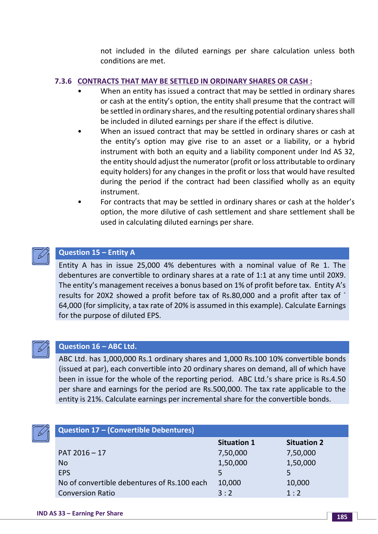not included in the diluted earnings per share calculation unless both conditions are met.

#### **7.3.6 CONTRACTS THAT MAY BE SETTLED IN ORDINARY SHARES OR CASH :**

- When an entity has issued a contract that may be settled in ordinary shares or cash at the entity's option, the entity shall presume that the contract will be settled in ordinary shares, and the resulting potential ordinary shares shall be included in diluted earnings per share if the effect is dilutive.
- When an issued contract that may be settled in ordinary shares or cash at the entity's option may give rise to an asset or a liability, or a hybrid instrument with both an equity and a liability component under Ind AS 32, the entity should adjust the numerator (profit or loss attributable to ordinary equity holders) for any changes in the profit or loss that would have resulted during the period if the contract had been classified wholly as an equity instrument.
- For contracts that may be settled in ordinary shares or cash at the holder's option, the more dilutive of cash settlement and share settlement shall be used in calculating diluted earnings per share.



# **Question 15 – Entity A**

Entity A has in issue 25,000 4% debentures with a nominal value of Re 1. The debentures are convertible to ordinary shares at a rate of 1:1 at any time until 20X9. The entity's management receives a bonus based on 1% of profit before tax. Entity A's results for 20X2 showed a profit before tax of Rs.80,000 and a profit after tax of ` 64,000 (for simplicity, a tax rate of 20% is assumed in this example). Calculate Earnings for the purpose of diluted EPS.



# **Question 16 – ABC Ltd.**

ABC Ltd. has 1,000,000 Rs.1 ordinary shares and 1,000 Rs.100 10% convertible bonds (issued at par), each convertible into 20 ordinary shares on demand, all of which have been in issue for the whole of the reporting period. ABC Ltd.'s share price is Rs.4.50 per share and earnings for the period are Rs.500,000. The tax rate applicable to the entity is 21%. Calculate earnings per incremental share for the convertible bonds.

| <b>Question 17 - (Convertible Debentures)</b> |                    |                    |  |
|-----------------------------------------------|--------------------|--------------------|--|
|                                               | <b>Situation 1</b> | <b>Situation 2</b> |  |
| $PAT 2016 - 17$                               | 7,50,000           | 7,50,000           |  |
| <b>No</b>                                     | 1,50,000           | 1,50,000           |  |
| <b>EPS</b>                                    |                    |                    |  |
| No of convertible debentures of Rs.100 each   | 10,000             | 10,000             |  |
| <b>Conversion Ratio</b>                       | 3:2                | $1 \cdot 2$        |  |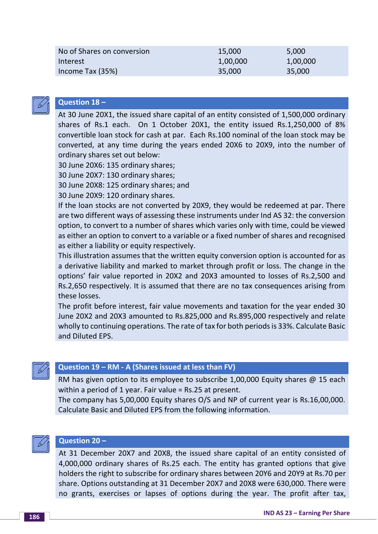| No of Shares on conversion | 15,000   | 5,000    |
|----------------------------|----------|----------|
| Interest                   | 1,00,000 | 1,00,000 |
| Income Tax (35%)           | 35,000   | 35,000   |



#### **Question 18 –**

At 30 June 20X1, the issued share capital of an entity consisted of 1,500,000 ordinary shares of Rs.1 each. On 1 October 20X1, the entity issued Rs.1,250,000 of 8% convertible loan stock for cash at par. Each Rs.100 nominal of the loan stock may be converted, at any time during the years ended 20X6 to 20X9, into the number of ordinary shares set out below:

30 June 20X6: 135 ordinary shares;

30 June 20X7: 130 ordinary shares;

30 June 20X8: 125 ordinary shares; and

30 June 20X9: 120 ordinary shares.

If the loan stocks are not converted by 20X9, they would be redeemed at par. There are two different ways of assessing these instruments under Ind AS 32: the conversion option, to convert to a number of shares which varies only with time, could be viewed as either an option to convert to a variable or a fixed number of shares and recognised as either a liability or equity respectively.

This illustration assumes that the written equity conversion option is accounted for as a derivative liability and marked to market through profit or loss. The change in the options' fair value reported in 20X2 and 20X3 amounted to losses of Rs.2,500 and Rs.2,650 respectively. It is assumed that there are no tax consequences arising from these losses.

The profit before interest, fair value movements and taxation for the year ended 30 June 20X2 and 20X3 amounted to Rs.825,000 and Rs.895,000 respectively and relate wholly to continuing operations. The rate of tax for both periods is 33%. Calculate Basic and Diluted EPS.



#### **Question 19 – RM - A (Shares issued at less than FV)**

RM has given option to its employee to subscribe 1,00,000 Equity shares @ 15 each within a period of 1 year. Fair value = Rs.25 at present.

The company has 5,00,000 Equity shares O/S and NP of current year is Rs.16,00,000. Calculate Basic and Diluted EPS from the following information.



#### **Question 20 –**

At 31 December 20X7 and 20X8, the issued share capital of an entity consisted of 4,000,000 ordinary shares of Rs.25 each. The entity has granted options that give holders the right to subscribe for ordinary shares between 20Y6 and 20Y9 at Rs.70 per share. Options outstanding at 31 December 20X7 and 20X8 were 630,000. There were no grants, exercises or lapses of options during the year. The profit after tax,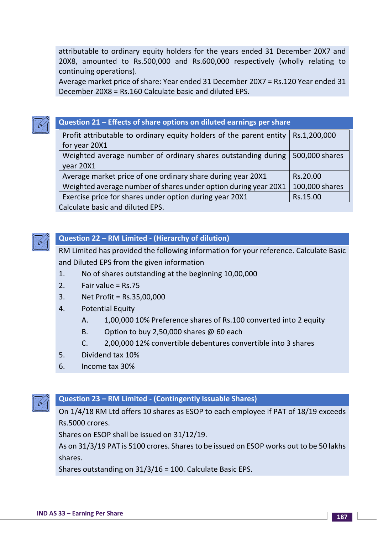attributable to ordinary equity holders for the years ended 31 December 20X7 and 20X8, amounted to Rs.500,000 and Rs.600,000 respectively (wholly relating to continuing operations).

Average market price of share: Year ended 31 December 20X7 = Rs.120 Year ended 31 December 20X8 = Rs.160 Calculate basic and diluted EPS.

# **Question 21 – Effects of share options on diluted earnings per share**

| Profit attributable to ordinary equity holders of the parent entity | Rs.1,200,000   |
|---------------------------------------------------------------------|----------------|
| for year 20X1                                                       |                |
| Weighted average number of ordinary shares outstanding during       | 500,000 shares |
| year 20X1                                                           |                |
| Average market price of one ordinary share during year 20X1         | Rs.20.00       |
| Weighted average number of shares under option during year 20X1     | 100,000 shares |
| Exercise price for shares under option during year 20X1             | Rs.15.00       |
| Calculate basic and diluted EPS.                                    |                |



# **Question 22 – RM Limited - (Hierarchy of dilution)**

RM Limited has provided the following information for your reference. Calculate Basic and Diluted EPS from the given information

- 1. No of shares outstanding at the beginning 10,00,000
- 2. Fair value = Rs.75
- 3. Net Profit = Rs.35,00,000
- 4. Potential Equity
	- A. 1,00,000 10% Preference shares of Rs.100 converted into 2 equity
	- B. Option to buy 2,50,000 shares @ 60 each
	- C. 2,00,000 12% convertible debentures convertible into 3 shares
- 5. Dividend tax 10%
- 6. Income tax 30%

# **Question 23 – RM Limited - (Contingently Issuable Shares)**

On 1/4/18 RM Ltd offers 10 shares as ESOP to each employee if PAT of 18/19 exceeds Rs.5000 crores.

Shares on ESOP shall be issued on 31/12/19.

As on 31/3/19 PAT is 5100 crores. Shares to be issued on ESOP works out to be 50 lakhs shares.

Shares outstanding on 31/3/16 = 100. Calculate Basic EPS.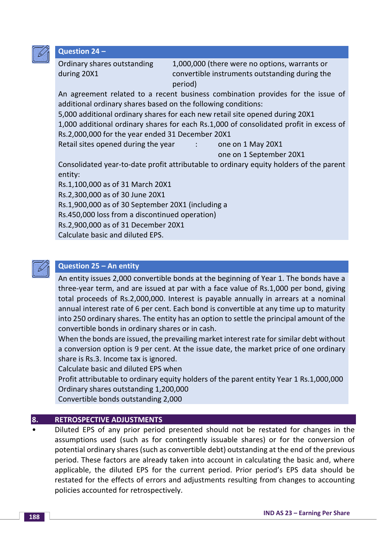

#### **Question 24 –**

Ordinary shares outstanding 1,000,000 (there were no options, warrants or during 20X1 convertible instruments outstanding during the period)

An agreement related to a recent business combination provides for the issue of additional ordinary shares based on the following conditions:

5,000 additional ordinary shares for each new retail site opened during 20X1 1,000 additional ordinary shares for each Rs.1,000 of consolidated profit in excess of Rs.2,000,000 for the year ended 31 December 20X1

Retail sites opened during the year : one on 1 May 20X1

one on 1 September 20X1

Consolidated year-to-date profit attributable to ordinary equity holders of the parent entity:

Rs.1,100,000 as of 31 March 20X1 Rs.2,300,000 as of 30 June 20X1 Rs.1,900,000 as of 30 September 20X1 (including a Rs.450,000 loss from a discontinued operation) Rs.2,900,000 as of 31 December 20X1 Calculate basic and diluted EPS.



# **Question 25 – An entity**

An entity issues 2,000 convertible bonds at the beginning of Year 1. The bonds have a three-year term, and are issued at par with a face value of Rs.1,000 per bond, giving total proceeds of Rs.2,000,000. Interest is payable annually in arrears at a nominal annual interest rate of 6 per cent. Each bond is convertible at any time up to maturity into 250 ordinary shares. The entity has an option to settle the principal amount of the convertible bonds in ordinary shares or in cash.

When the bonds are issued, the prevailing market interest rate for similar debt without a conversion option is 9 per cent. At the issue date, the market price of one ordinary share is Rs.3. Income tax is ignored.

Calculate basic and diluted EPS when

Profit attributable to ordinary equity holders of the parent entity Year 1 Rs.1,000,000 Ordinary shares outstanding 1,200,000

Convertible bonds outstanding 2,000

# **8. RETROSPECTIVE ADJUSTMENTS**

• Diluted EPS of any prior period presented should not be restated for changes in the assumptions used (such as for contingently issuable shares) or for the conversion of potential ordinary shares (such as convertible debt) outstanding at the end of the previous period. These factors are already taken into account in calculating the basic and, where applicable, the diluted EPS for the current period. Prior period's EPS data should be restated for the effects of errors and adjustments resulting from changes to accounting policies accounted for retrospectively.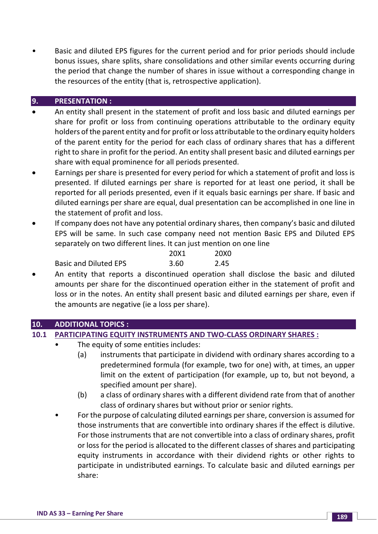• Basic and diluted EPS figures for the current period and for prior periods should include bonus issues, share splits, share consolidations and other similar events occurring during the period that change the number of shares in issue without a corresponding change in the resources of the entity (that is, retrospective application).

#### **9. PRESENTATION :**

- An entity shall present in the statement of profit and loss basic and diluted earnings per share for profit or loss from continuing operations attributable to the ordinary equity holders of the parent entity and for profit or loss attributable to the ordinary equity holders of the parent entity for the period for each class of ordinary shares that has a different right to share in profit for the period. An entity shall present basic and diluted earnings per share with equal prominence for all periods presented.
- Earnings per share is presented for every period for which a statement of profit and loss is presented. If diluted earnings per share is reported for at least one period, it shall be reported for all periods presented, even if it equals basic earnings per share. If basic and diluted earnings per share are equal, dual presentation can be accomplished in one line in the statement of profit and loss.
- If company does not have any potential ordinary shares, then company's basic and diluted EPS will be same. In such case company need not mention Basic EPS and Diluted EPS separately on two different lines. It can just mention on one line

|                              | 20X1 | 20X0 |
|------------------------------|------|------|
| <b>Basic and Diluted EPS</b> | 3.60 | 2.45 |

• An entity that reports a discontinued operation shall disclose the basic and diluted amounts per share for the discontinued operation either in the statement of profit and loss or in the notes. An entity shall present basic and diluted earnings per share, even if the amounts are negative (ie a loss per share).

# **10. ADDITIONAL TOPICS :**

- **10.1 PARTICIPATING EQUITY INSTRUMENTS AND TWO-CLASS ORDINARY SHARES :**
	- The equity of some entities includes:
		- (a) instruments that participate in dividend with ordinary shares according to a predetermined formula (for example, two for one) with, at times, an upper limit on the extent of participation (for example, up to, but not beyond, a specified amount per share).
		- (b) a class of ordinary shares with a different dividend rate from that of another class of ordinary shares but without prior or senior rights.
	- For the purpose of calculating diluted earnings per share, conversion is assumed for those instruments that are convertible into ordinary shares if the effect is dilutive. For those instruments that are not convertible into a class of ordinary shares, profit or loss for the period is allocated to the different classes of shares and participating equity instruments in accordance with their dividend rights or other rights to participate in undistributed earnings. To calculate basic and diluted earnings per share: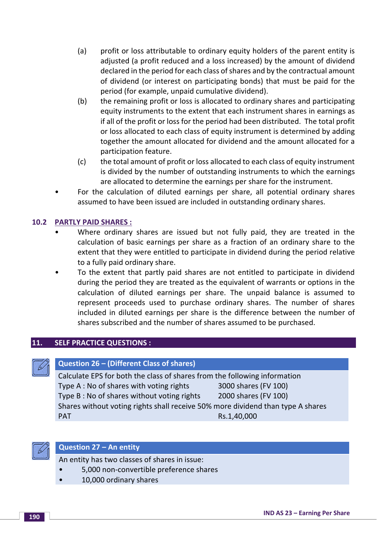- (a) profit or loss attributable to ordinary equity holders of the parent entity is adjusted (a profit reduced and a loss increased) by the amount of dividend declared in the period for each class of shares and by the contractual amount of dividend (or interest on participating bonds) that must be paid for the period (for example, unpaid cumulative dividend).
- (b) the remaining profit or loss is allocated to ordinary shares and participating equity instruments to the extent that each instrument shares in earnings as if all of the profit or loss for the period had been distributed. The total profit or loss allocated to each class of equity instrument is determined by adding together the amount allocated for dividend and the amount allocated for a participation feature.
- (c) the total amount of profit or loss allocated to each class of equity instrument is divided by the number of outstanding instruments to which the earnings are allocated to determine the earnings per share for the instrument.
- For the calculation of diluted earnings per share, all potential ordinary shares assumed to have been issued are included in outstanding ordinary shares.

# **10.2 PARTLY PAID SHARES :**

- Where ordinary shares are issued but not fully paid, they are treated in the calculation of basic earnings per share as a fraction of an ordinary share to the extent that they were entitled to participate in dividend during the period relative to a fully paid ordinary share.
- To the extent that partly paid shares are not entitled to participate in dividend during the period they are treated as the equivalent of warrants or options in the calculation of diluted earnings per share. The unpaid balance is assumed to represent proceeds used to purchase ordinary shares. The number of shares included in diluted earnings per share is the difference between the number of shares subscribed and the number of shares assumed to be purchased.

# **11. SELF PRACTICE QUESTIONS :**

#### **Question 26 – (Different Class of shares)**

Calculate EPS for both the class of shares from the following information Type A : No of shares with voting rights 3000 shares (FV 100) Type B : No of shares without voting rights 2000 shares (FV 100) Shares without voting rights shall receive 50% more dividend than type A shares PAT RS.1,40,000



# **Question 27 – An entity**

An entity has two classes of shares in issue:

- 5,000 non-convertible preference shares
- 10,000 ordinary shares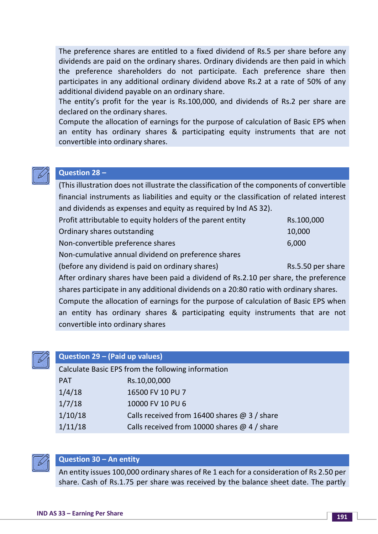The preference shares are entitled to a fixed dividend of Rs.5 per share before any dividends are paid on the ordinary shares. Ordinary dividends are then paid in which the preference shareholders do not participate. Each preference share then participates in any additional ordinary dividend above Rs.2 at a rate of 50% of any additional dividend payable on an ordinary share.

The entity's profit for the year is Rs.100,000, and dividends of Rs.2 per share are declared on the ordinary shares.

Compute the allocation of earnings for the purpose of calculation of Basic EPS when an entity has ordinary shares & participating equity instruments that are not convertible into ordinary shares.



#### **Question 28 –**

(This illustration does not illustrate the classification of the components of convertible financial instruments as liabilities and equity or the classification of related interest and dividends as expenses and equity as required by Ind AS 32).

| Profit attributable to equity holders of the parent entity | Rs.100,000 |
|------------------------------------------------------------|------------|
| Ordinary shares outstanding                                | 10,000     |
| Non-convertible preference shares                          | 6,000      |
| Non-cumulative annual dividend on preference shares        |            |

(before any dividend is paid on ordinary shares) Rs.5.50 per share

After ordinary shares have been paid a dividend of Rs.2.10 per share, the preference shares participate in any additional dividends on a 20:80 ratio with ordinary shares.

Compute the allocation of earnings for the purpose of calculation of Basic EPS when an entity has ordinary shares & participating equity instruments that are not convertible into ordinary shares



#### **Question 29 – (Paid up values)**

| Calculate Basic EPS from the following information |                                                |  |  |
|----------------------------------------------------|------------------------------------------------|--|--|
| <b>PAT</b>                                         | Rs.10,00,000                                   |  |  |
| 1/4/18                                             | 16500 FV 10 PU 7                               |  |  |
| 1/7/18                                             | 10000 FV 10 PU 6                               |  |  |
| 1/10/18                                            | Calls received from 16400 shares $@3/$ share   |  |  |
| 1/11/18                                            | Calls received from 10000 shares $@$ 4 / share |  |  |



#### **Question 30 – An entity**

An entity issues 100,000 ordinary shares of Re 1 each for a consideration of Rs 2.50 per share. Cash of Rs.1.75 per share was received by the balance sheet date. The partly